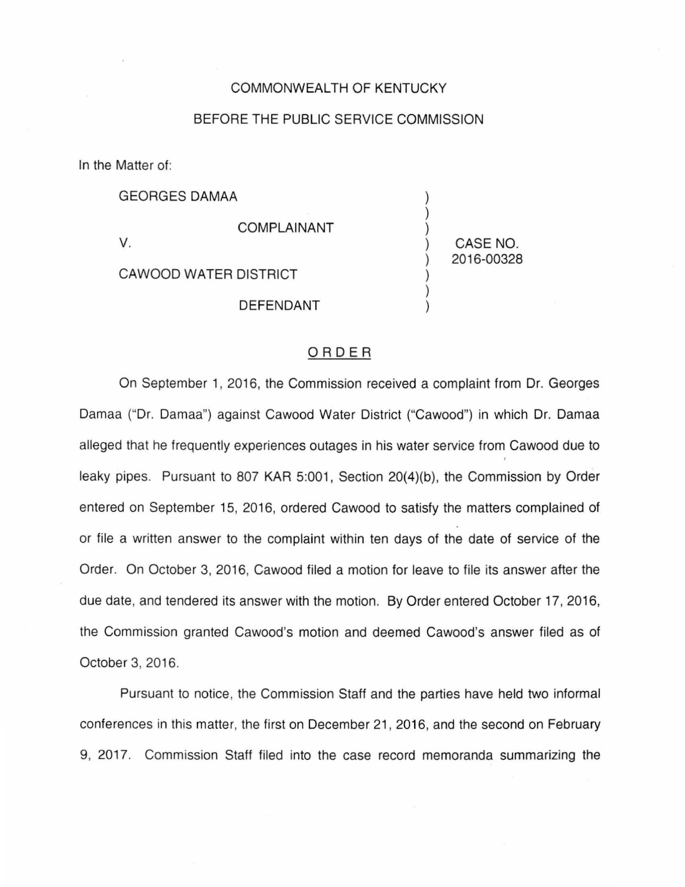## COMMONWEALTH OF KENTUCKY

## BEFORE THE PUBLIC SERVICE COMMISSION

In the Matter of:

GEORGES DAMAA COMPLAINANT V. CAWOOD WATER DISTRICT DEFENDANT ) ) ) ) CASE NO. ) 2016-00328 ) ) )

## ORDER

On September 1, 2016, the Commission received a complaint from Dr. Georges Damaa ("Dr. Damaa") against Cawood Water District ("Cawood") in which Dr. Damaa alleged that he frequently experiences outages in his water service from Cawood due to leaky pipes. Pursuant to 807 KAR 5:001, Section 20(4)(b), the Commission by Order entered on September 15, 2016, ordered Cawood to satisfy the matters complained of or file a written answer to the complaint within ten days of the date of service of the Order. On October 3, 2016, Cawood filed a motion for leave to file its answer after the due date, and tendered its answer with the motion. By Order entered October 17, 2016, the Commission granted Cawood's motion and deemed Cawood's answer filed as of October 3, 2016.

Pursuant to notice, the Commission Staff and the parties have held two informal conferences in this matter, the first on December 21 , 2016, and the second on February 9, 2017. Commission Staff filed into the case record memoranda summarizing the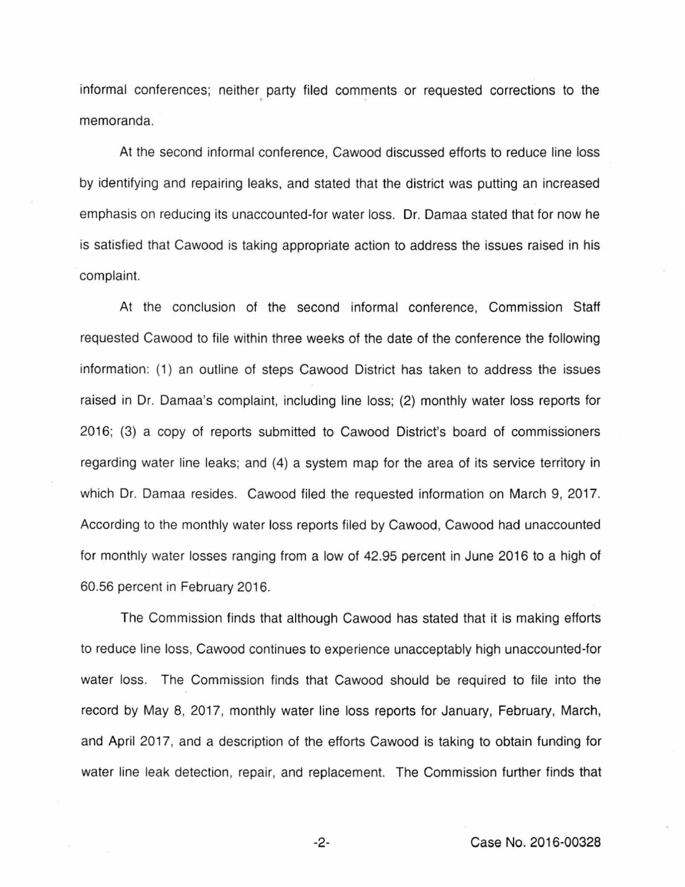informal conferences; neither party filed comments or requested corrections to the memoranda.

At the second informal conference, Cawood discussed efforts to reduce line loss by identifying and repairing leaks, and stated that the district was putting an increased emphasis on reducing its unaccounted-for water loss. Dr. Damaa stated that for now he is satisfied that Cawood is taking appropriate action to address the issues raised in his complaint.

At the conclusion of the second informal conference, Commission Staff requested Cawood to file within three weeks of the date of the conference the following information: (1) an outline of steps Cawood District has taken to address the issues raised in Dr. Damaa's complaint, including line loss; (2) monthly water loss reports for 2016; (3) a copy of reports submitted to Cawood District's board of commissioners regarding water line leaks; and (4) a system map for the area of its service territory in which Dr. Damaa resides. Cawood filed the requested information on March 9, 2017. According to the monthly water loss reports filed by Cawood, Cawood had unaccounted for monthly water losses ranging from a low of 42.95 percent in June 2016 to a high of 60.56 percent in February 2016.

The Commission finds that although Cawood has stated that it is making efforts to reduce line loss, Cawood continues to experience unacceptably high unaccounted-for water loss. The Commission finds that Cawood should be required to file into the record by May 8, 2017, monthly water line loss reports for January, February, March, and April 2017, and a description of the efforts Cawood is taking to obtain funding for water line leak detection, repair, and replacement. The Commission further finds that

-2- Case No. 2016-00328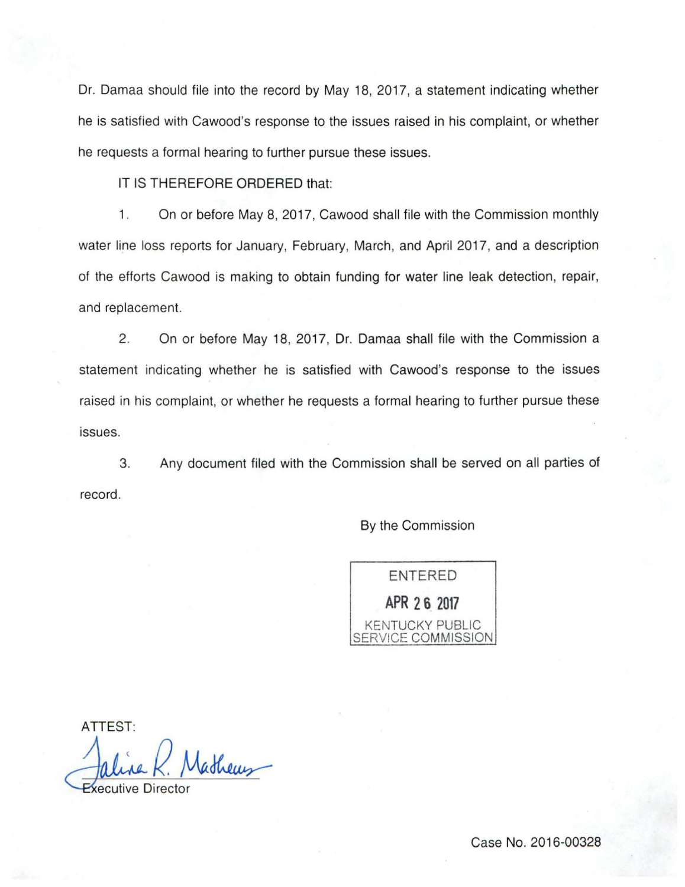Dr. Damaa should file into the record by May 18, 2017, a statement indicating whether he is satisfied with Cawood's response to the issues raised in his complaint, or whether he requests a formal hearing to further pursue these issues.

IT IS THEREFORE ORDERED that:

1. On or before May 8, 2017, Cawood shall file with the Commission monthly water line loss reports for January, February, March, and April 2017, and a description of the efforts Cawood is making to obtain funding for water line leak detection, repair, and replacement.

2. On or before May 18, 2017, Dr. Damaa shall file with the Commission a statement indicating whether he is satisfied with Cawood's response to the issues raised in his complaint, or whether he requests a formal hearing to further pursue these issues.

3. Any document filed with the Commission shall be served on all parties of record.

By the Commission

ENTERED **APR 2 6 2017**  KENTUCKY PUBLIC SERVICE COMMISSION

**ATTEST:**